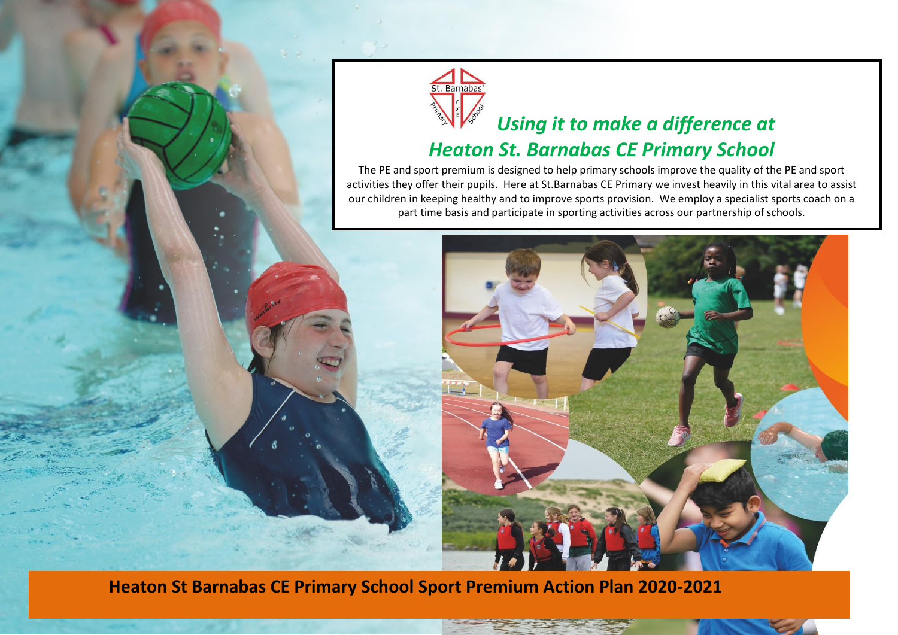

## *Using it to make a difference at*

## *Heaton St. Barnabas CE Primary School*

The PE and sport premium is designed to help primary schools improve the quality of the PE and sport activities they offer their pupils. Here at St.Barnabas CE Primary we invest heavily in this vital area to assist our children in keeping healthy and to improve sports provision. We employ a specialist sports coach on a part time basis and participate in sporting activities across our partnership of schools.



**Heaton St Barnabas CE Primary School Sport Premium Action Plan 2020-2021**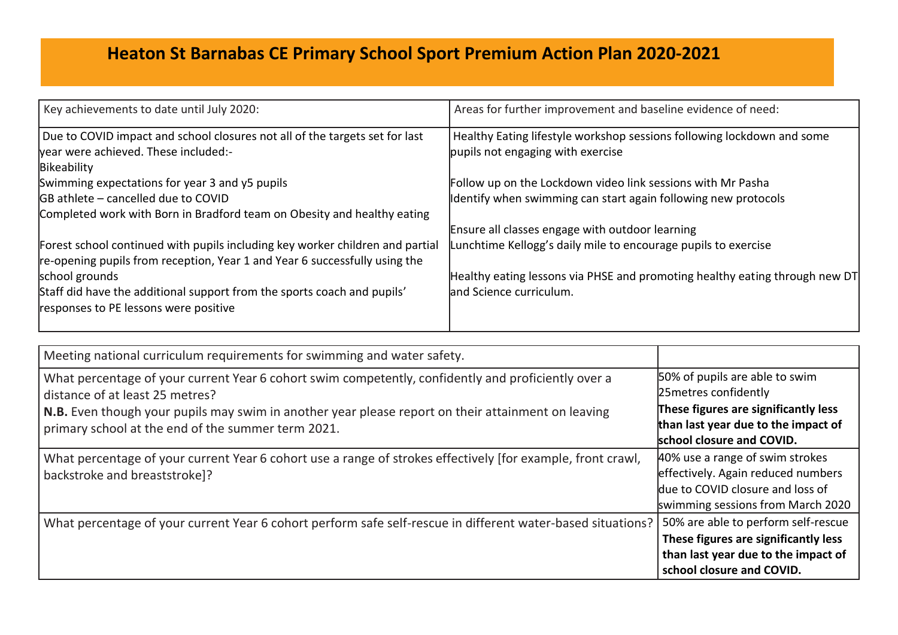## **Heaton St Barnabas CE Primary School Sport Premium Action Plan 2020-2021**

| Key achievements to date until July 2020:                                                                                                                   | Areas for further improvement and baseline evidence of need:                |
|-------------------------------------------------------------------------------------------------------------------------------------------------------------|-----------------------------------------------------------------------------|
| Due to COVID impact and school closures not all of the targets set for last                                                                                 | Healthy Eating lifestyle workshop sessions following lockdown and some      |
| lyear were achieved. These included:-                                                                                                                       | pupils not engaging with exercise                                           |
| Bikeability                                                                                                                                                 |                                                                             |
| Swimming expectations for year 3 and y5 pupils                                                                                                              | Follow up on the Lockdown video link sessions with Mr Pasha                 |
| GB athlete - cancelled due to COVID                                                                                                                         | Identify when swimming can start again following new protocols              |
| Completed work with Born in Bradford team on Obesity and healthy eating                                                                                     |                                                                             |
|                                                                                                                                                             | Ensure all classes engage with outdoor learning                             |
| Forest school continued with pupils including key worker children and partial<br>re-opening pupils from reception, Year 1 and Year 6 successfully using the | Lunchtime Kellogg's daily mile to encourage pupils to exercise              |
| school grounds                                                                                                                                              | Healthy eating lessons via PHSE and promoting healthy eating through new DT |
| Staff did have the additional support from the sports coach and pupils'<br>responses to PE lessons were positive                                            | land Science curriculum.                                                    |

| Meeting national curriculum requirements for swimming and water safety.                                                                                                                                                                                                                            |                                                                                                                                                                     |
|----------------------------------------------------------------------------------------------------------------------------------------------------------------------------------------------------------------------------------------------------------------------------------------------------|---------------------------------------------------------------------------------------------------------------------------------------------------------------------|
| What percentage of your current Year 6 cohort swim competently, confidently and proficiently over a<br>distance of at least 25 metres?<br>N.B. Even though your pupils may swim in another year please report on their attainment on leaving<br>primary school at the end of the summer term 2021. | 50% of pupils are able to swim<br>25 metres confidently<br>These figures are significantly less<br>than last year due to the impact of<br>school closure and COVID. |
| What percentage of your current Year 6 cohort use a range of strokes effectively [for example, front crawl,<br>backstroke and breaststroke]?                                                                                                                                                       | 40% use a range of swim strokes<br>effectively. Again reduced numbers<br>due to COVID closure and loss of<br>swimming sessions from March 2020                      |
| What percentage of your current Year 6 cohort perform safe self-rescue in different water-based situations?                                                                                                                                                                                        | 50% are able to perform self-rescue<br>These figures are significantly less<br>than last year due to the impact of<br>school closure and COVID.                     |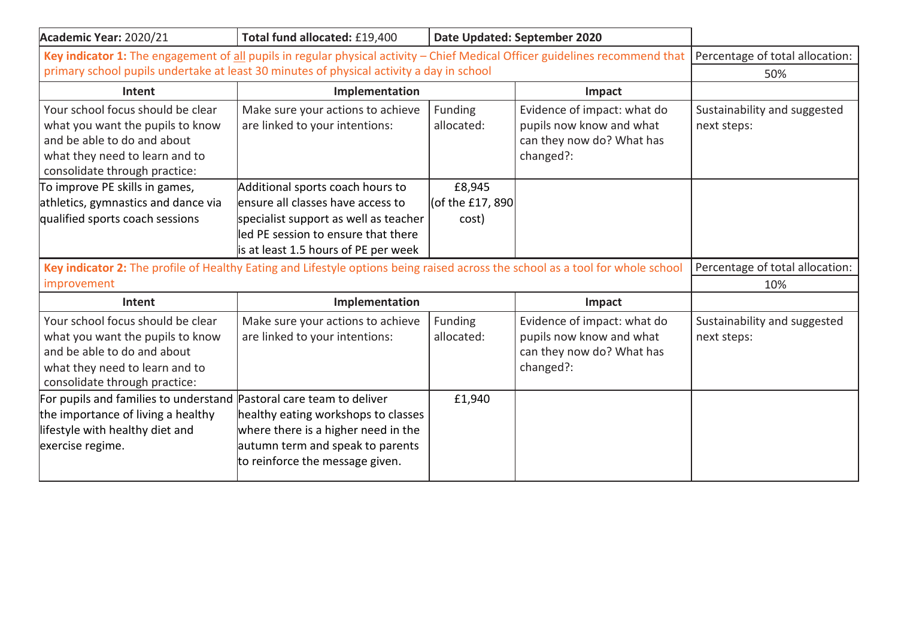| Academic Year: 2020/21                                                                                                                                                  | Total fund allocated: £19,400<br>Date Updated: September 2020                                                                                                                                  |                                     |                                                                                                   |                                             |
|-------------------------------------------------------------------------------------------------------------------------------------------------------------------------|------------------------------------------------------------------------------------------------------------------------------------------------------------------------------------------------|-------------------------------------|---------------------------------------------------------------------------------------------------|---------------------------------------------|
| Key indicator 1: The engagement of all pupils in regular physical activity - Chief Medical Officer guidelines recommend that   Percentage of total allocation:          |                                                                                                                                                                                                |                                     |                                                                                                   |                                             |
| primary school pupils undertake at least 30 minutes of physical activity a day in school                                                                                |                                                                                                                                                                                                |                                     |                                                                                                   | 50%                                         |
| Intent                                                                                                                                                                  | Implementation<br>Impact                                                                                                                                                                       |                                     |                                                                                                   |                                             |
| Your school focus should be clear<br>what you want the pupils to know<br>and be able to do and about<br>what they need to learn and to<br>consolidate through practice: | Make sure your actions to achieve<br>are linked to your intentions:                                                                                                                            | Funding<br>allocated:               | Evidence of impact: what do<br>pupils now know and what<br>can they now do? What has<br>changed?: | Sustainability and suggested<br>next steps: |
| To improve PE skills in games,<br>athletics, gymnastics and dance via<br>qualified sports coach sessions                                                                | Additional sports coach hours to<br>ensure all classes have access to<br>specialist support as well as teacher<br>lled PE session to ensure that there<br>is at least 1.5 hours of PE per week | £8,945<br>(of the £17, 890<br>cost) |                                                                                                   |                                             |
| Key indicator 2: The profile of Healthy Eating and Lifestyle options being raised across the school as a tool for whole school                                          |                                                                                                                                                                                                |                                     | Percentage of total allocation:                                                                   |                                             |
| improvement                                                                                                                                                             |                                                                                                                                                                                                |                                     |                                                                                                   | 10%                                         |
| Intent                                                                                                                                                                  | Implementation                                                                                                                                                                                 |                                     | Impact                                                                                            |                                             |
| Your school focus should be clear<br>what you want the pupils to know<br>and be able to do and about<br>what they need to learn and to<br>consolidate through practice: | Make sure your actions to achieve<br>are linked to your intentions:                                                                                                                            | Funding<br>allocated:               | Evidence of impact: what do<br>pupils now know and what<br>can they now do? What has<br>changed?: | Sustainability and suggested<br>next steps: |
| For pupils and families to understand  Pastoral care team to deliver<br>the importance of living a healthy<br>lifestyle with healthy diet and<br>exercise regime.       | healthy eating workshops to classes<br>where there is a higher need in the<br>autumn term and speak to parents<br>to reinforce the message given.                                              | £1,940                              |                                                                                                   |                                             |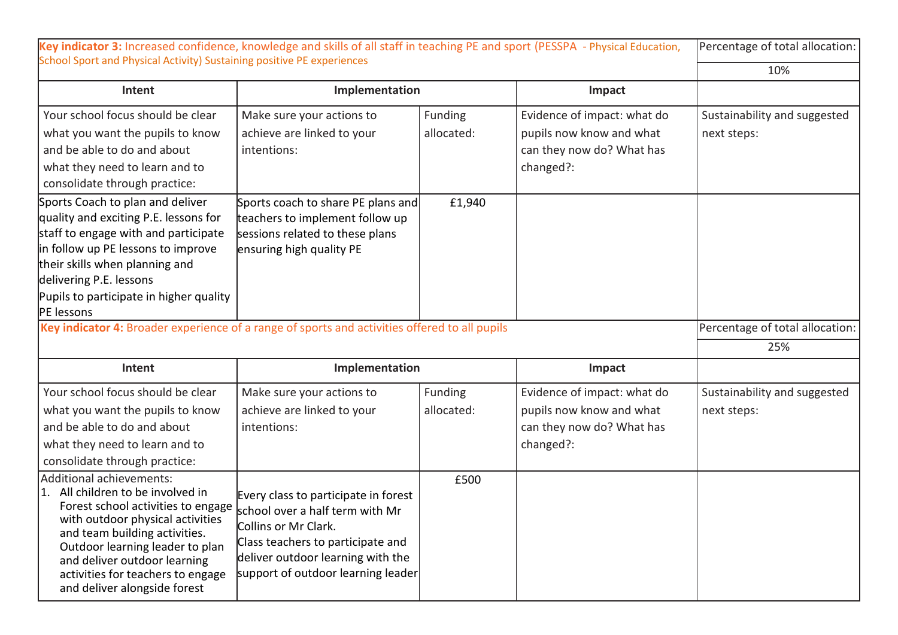|                                                                                                                                                                                                                                                                               | Key indicator 3: Increased confidence, knowledge and skills of all staff in teaching PE and sport (PESSPA - Physical Education,      |                       |                                                                                                   | Percentage of total allocation:             |
|-------------------------------------------------------------------------------------------------------------------------------------------------------------------------------------------------------------------------------------------------------------------------------|--------------------------------------------------------------------------------------------------------------------------------------|-----------------------|---------------------------------------------------------------------------------------------------|---------------------------------------------|
| School Sport and Physical Activity) Sustaining positive PE experiences                                                                                                                                                                                                        |                                                                                                                                      |                       |                                                                                                   | 10%                                         |
| Intent                                                                                                                                                                                                                                                                        | Implementation                                                                                                                       |                       | Impact                                                                                            |                                             |
| Your school focus should be clear<br>what you want the pupils to know<br>and be able to do and about<br>what they need to learn and to<br>consolidate through practice:                                                                                                       | Make sure your actions to<br>achieve are linked to your<br>intentions:                                                               | Funding<br>allocated: | Evidence of impact: what do<br>pupils now know and what<br>can they now do? What has<br>changed?: | Sustainability and suggested<br>next steps: |
| Sports Coach to plan and deliver<br>quality and exciting P.E. lessons for<br>staff to engage with and participate<br>in follow up PE lessons to improve<br>their skills when planning and<br>delivering P.E. lessons<br>Pupils to participate in higher quality<br>PE lessons | Sports coach to share PE plans and<br>teachers to implement follow up<br>sessions related to these plans<br>ensuring high quality PE | £1,940                |                                                                                                   |                                             |
| Key indicator 4: Broader experience of a range of sports and activities offered to all pupils                                                                                                                                                                                 |                                                                                                                                      |                       |                                                                                                   | Percentage of total allocation:             |
|                                                                                                                                                                                                                                                                               |                                                                                                                                      |                       |                                                                                                   |                                             |
|                                                                                                                                                                                                                                                                               |                                                                                                                                      |                       |                                                                                                   | 25%                                         |
| Intent                                                                                                                                                                                                                                                                        | Implementation                                                                                                                       |                       | Impact                                                                                            |                                             |
| Your school focus should be clear<br>what you want the pupils to know<br>and be able to do and about<br>what they need to learn and to<br>consolidate through practice:                                                                                                       | Make sure your actions to<br>achieve are linked to your<br>intentions:                                                               | Funding<br>allocated: | Evidence of impact: what do<br>pupils now know and what<br>can they now do? What has<br>changed?: | Sustainability and suggested<br>next steps: |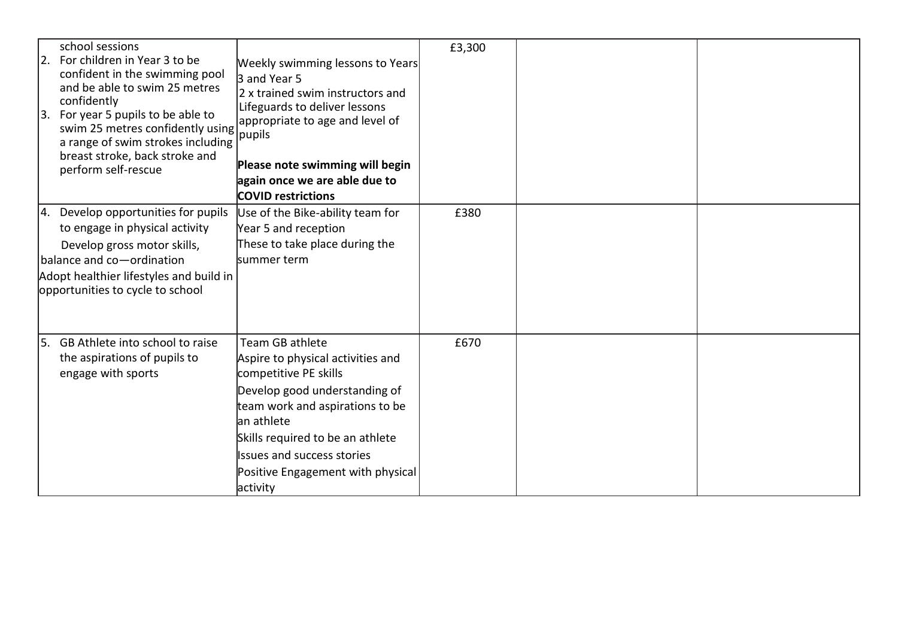| school sessions<br>2. For children in Year 3 to be<br>confident in the swimming pool<br>and be able to swim 25 metres<br>confidently<br>3. For year 5 pupils to be able to<br>swim 25 metres confidently using<br>a range of swim strokes including<br>breast stroke, back stroke and<br>perform self-rescue | Weekly swimming lessons to Years<br>3 and Year 5<br>2 x trained swim instructors and<br>Lifeguards to deliver lessons<br>appropriate to age and level of<br>pupils<br>Please note swimming will begin                                                                               | £3,300 |  |
|--------------------------------------------------------------------------------------------------------------------------------------------------------------------------------------------------------------------------------------------------------------------------------------------------------------|-------------------------------------------------------------------------------------------------------------------------------------------------------------------------------------------------------------------------------------------------------------------------------------|--------|--|
|                                                                                                                                                                                                                                                                                                              | again once we are able due to<br><b>COVID restrictions</b>                                                                                                                                                                                                                          |        |  |
| 4. Develop opportunities for pupils<br>to engage in physical activity<br>Develop gross motor skills,<br>balance and co-ordination<br>Adopt healthier lifestyles and build in<br>opportunities to cycle to school                                                                                             | Use of the Bike-ability team for<br>Year 5 and reception<br>These to take place during the<br>lsummer term                                                                                                                                                                          | £380   |  |
| 5. GB Athlete into school to raise<br>the aspirations of pupils to<br>engage with sports                                                                                                                                                                                                                     | Team GB athlete<br>Aspire to physical activities and<br>competitive PE skills<br>Develop good understanding of<br>team work and aspirations to be<br>lan athlete<br>Skills required to be an athlete<br>Issues and success stories<br>Positive Engagement with physical<br>activity | £670   |  |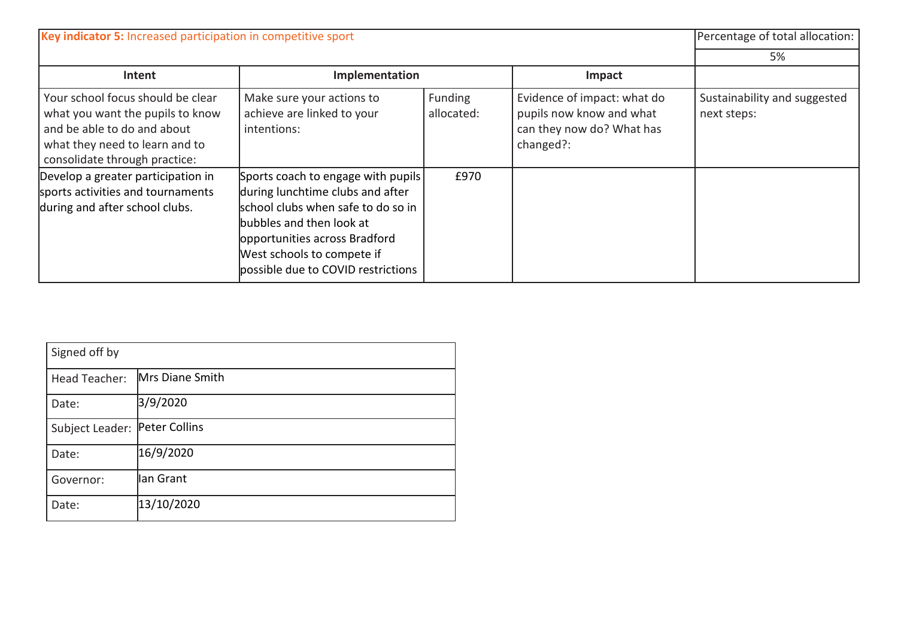| Key indicator 5: Increased participation in competitive sport                                                                                                           |                                                                                                                                                                                                                                               |                       |                                                                                                   | Percentage of total allocation:             |
|-------------------------------------------------------------------------------------------------------------------------------------------------------------------------|-----------------------------------------------------------------------------------------------------------------------------------------------------------------------------------------------------------------------------------------------|-----------------------|---------------------------------------------------------------------------------------------------|---------------------------------------------|
|                                                                                                                                                                         |                                                                                                                                                                                                                                               |                       |                                                                                                   | 5%                                          |
| Intent                                                                                                                                                                  | Implementation                                                                                                                                                                                                                                |                       | Impact                                                                                            |                                             |
| Your school focus should be clear<br>what you want the pupils to know<br>and be able to do and about<br>what they need to learn and to<br>consolidate through practice: | Make sure your actions to<br>achieve are linked to your<br>intentions:                                                                                                                                                                        | Funding<br>allocated: | Evidence of impact: what do<br>pupils now know and what<br>can they now do? What has<br>changed?: | Sustainability and suggested<br>next steps: |
| Develop a greater participation in<br>sports activities and tournaments<br>during and after school clubs.                                                               | Sports coach to engage with pupils<br>during lunchtime clubs and after<br>school clubs when safe to do so in<br>bubbles and then look at<br>opportunities across Bradford<br>West schools to compete if<br>possible due to COVID restrictions | £970                  |                                                                                                   |                                             |

| Signed off by   |                        |
|-----------------|------------------------|
| Head Teacher:   | <b>Mrs Diane Smith</b> |
| Date:           | 3/9/2020               |
| Subject Leader: | Peter Collins          |
| Date:           | 16/9/2020              |
| Governor:       | lan Grant              |
| Date:           | 13/10/2020             |